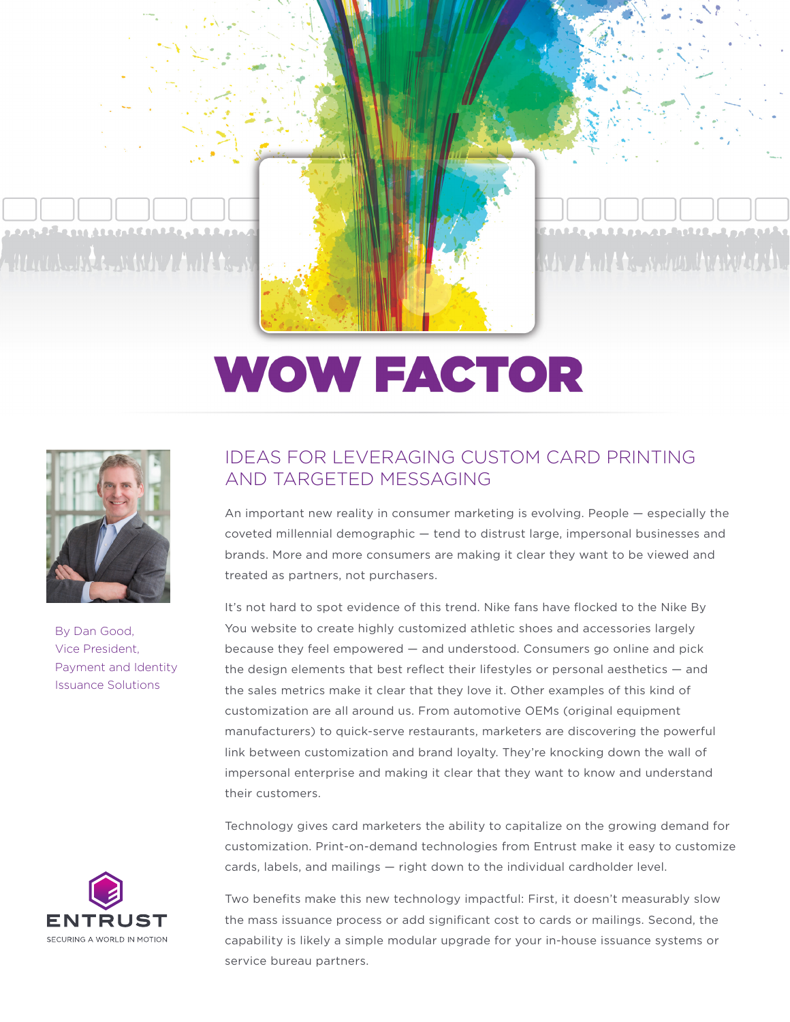

## **WOW FACTOR**



By Dan Good, Vice President, Payment and Identity Issuance Solutions



## IDEAS FOR LEVERAGING CUSTOM CARD PRINTING AND TARGETED MESSAGING

An important new reality in consumer marketing is evolving. People — especially the coveted millennial demographic — tend to distrust large, impersonal businesses and brands. More and more consumers are making it clear they want to be viewed and treated as partners, not purchasers.

It's not hard to spot evidence of this trend. Nike fans have flocked to the Nike By You website to create highly customized athletic shoes and accessories largely because they feel empowered — and understood. Consumers go online and pick the design elements that best reflect their lifestyles or personal aesthetics — and the [sales metrics make it clear that they love it](http://www.forbes.com/sites/greatspeculations/2015/07/09/how-nikeid-is-helping-nikes-push-for-greater-profits/#7f0056a748b7). Other examples of this kind of customization are all around us. From [automotive OEMs](https://businessvalueexchange.com/blog/2015/12/16/build-your-own-car/) (original equipment manufacturers) to [quick-serve restaurants,](http://www.adweek.com/news/advertising-branding/how-build-your-own-meal-craze-reshaping-restaurants-165206) marketers are discovering the powerful link between customization and brand loyalty. They're knocking down the wall of impersonal enterprise and making it clear that they want to know and understand their customers.

Technology gives card marketers the ability to capitalize on the growing demand for customization. Print-on-demand technologies from Entrust make it easy to customize cards, labels, and mailings — right down to the individual cardholder level.

Two benefits make this new technology impactful: First, it doesn't measurably slow the mass issuance process or add significant cost to cards or mailings. Second, the capability is likely a simple modular upgrade for your in-house issuance systems or service bureau partners.